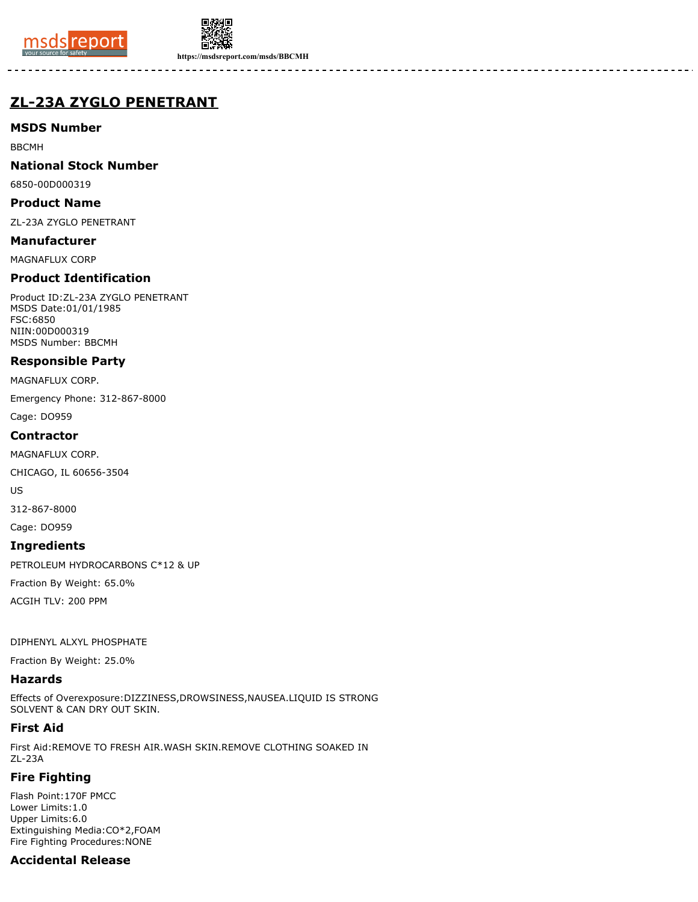



**https://msdsreport.com/msds/BBCMH**

# **ZL-23A ZYGLO PENETRANT**

# **MSDS Number**

BBCMH

## **National Stock Number**

6850-00D000319

#### **Product Name**

ZL-23A ZYGLO PENETRANT

#### **Manufacturer**

MAGNAFLUX CORP

# **Product Identification**

Product ID:ZL-23A ZYGLO PENETRANT MSDS Date:01/01/1985 FSC:6850 NIIN:00D000319 MSDS Number: BBCMH

### **Responsible Party**

MAGNAFLUX CORP.

Emergency Phone: 312-867-8000

Cage: DO959

### **Contractor**

MAGNAFLUX CORP.

CHICAGO, IL 60656-3504

US

312-867-8000

Cage: DO959

#### **Ingredients**

PETROLEUM HYDROCARBONS C\*12 & UP

Fraction By Weight: 65.0%

ACGIH TLV: 200 PPM

#### DIPHENYL ALXYL PHOSPHATE

Fraction By Weight: 25.0%

# **Hazards**

Effects of Overexposure:DIZZINESS,DROWSINESS,NAUSEA.LIQUID IS STRONG SOLVENT & CAN DRY OUT SKIN.

# **First Aid**

First Aid:REMOVE TO FRESH AIR.WASH SKIN.REMOVE CLOTHING SOAKED IN ZL-23A

# **Fire Fighting**

Flash Point:170F PMCC Lower Limits:1.0 Upper Limits:6.0 Extinguishing Media:CO\*2,FOAM Fire Fighting Procedures:NONE

# **Accidental Release**